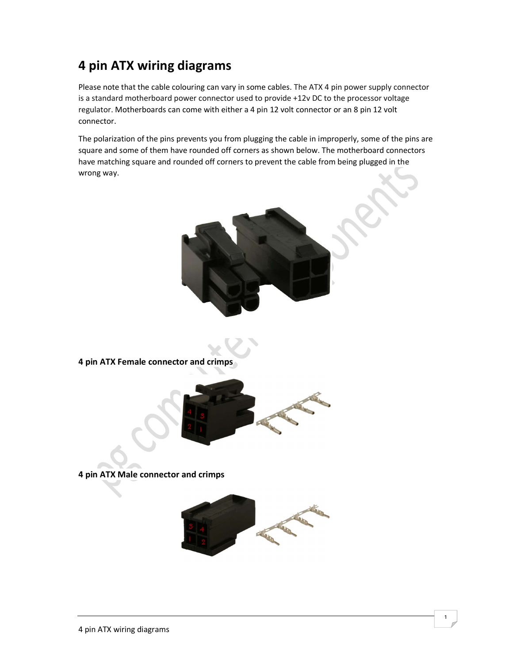## 4 pin ATX wiring diagrams

Please note that the cable colouring can vary in some cables. The ATX 4 pin power supply connector is a standard motherboard power connector used to provide +12v DC to the processor voltage regulator. Motherboards can come with either a 4 pin 12 volt connector or an 8 pin 12 volt connector.

The polarization of the pins prevents you from plugging the cable in improperly, some of the pins are square and some of them have rounded off corners as shown below. The motherboard connectors have matching square and rounded off corners to prevent the cable from being plugged in the wrong way.



4 pin ATX Female connector and crimps



4 pin ATX Male connector and crimps